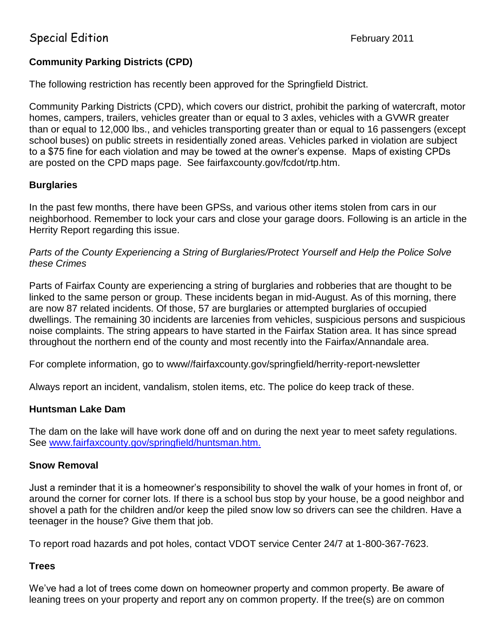# Special Edition **February 2011**

## **Community Parking Districts (CPD)**

The following restriction has recently been approved for the Springfield District.

Community Parking Districts (CPD), which covers our district, prohibit the parking of watercraft, motor homes, campers, trailers, vehicles greater than or equal to 3 axles, vehicles with a GVWR greater than or equal to 12,000 lbs., and vehicles transporting greater than or equal to 16 passengers (except school buses) on public streets in residentially zoned areas. Vehicles parked in violation are subject to a \$75 fine for each violation and may be towed at the owner's expense. Maps of existing CPDs are posted on the CPD maps page. See fairfaxcounty.gov/fcdot/rtp.htm.

## **Burglaries**

In the past few months, there have been GPSs, and various other items stolen from cars in our neighborhood. Remember to lock your cars and close your garage doors. Following is an article in the Herrity Report regarding this issue.

*Parts of the County Experiencing a String of Burglaries/Protect Yourself and Help the Police Solve these Crimes*

Parts of Fairfax County are experiencing a string of burglaries and robberies that are thought to be linked to the same person or group. These incidents began in mid-August. As of this morning, there are now 87 related incidents. Of those, 57 are burglaries or attempted burglaries of occupied dwellings. The remaining 30 incidents are larcenies from vehicles, suspicious persons and suspicious noise complaints. The string appears to have started in the Fairfax Station area. It has since spread throughout the northern end of the county and most recently into the Fairfax/Annandale area.

For complete information, go to www//fairfaxcounty.gov/springfield/herrity-report-newsletter

Always report an incident, vandalism, stolen items, etc. The police do keep track of these.

### **Huntsman Lake Dam**

The dam on the lake will have work done off and on during the next year to meet safety regulations. See [www.fairfaxcounty.gov/springfield/huntsman.htm.](http://www.fairfaxcounty.gov/springfield/huntsman.htm.)

### **Snow Removal**

Just a reminder that it is a homeowner's responsibility to shovel the walk of your homes in front of, or around the corner for corner lots. If there is a school bus stop by your house, be a good neighbor and shovel a path for the children and/or keep the piled snow low so drivers can see the children. Have a teenager in the house? Give them that job.

To report road hazards and pot holes, contact VDOT service Center 24/7 at 1-800-367-7623.

### **Trees**

We've had a lot of trees come down on homeowner property and common property. Be aware of leaning trees on your property and report any on common property. If the tree(s) are on common